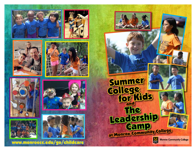















www.monroecc.edu/go/childcare

 Summer College for Kids and The Leadership **Camp** at Monroe Community College **Monroe Community College** 

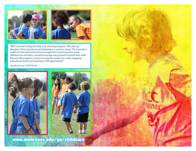



*"MCC Summer College for Kids is an amazing program. This was my daughter's first experience participating in a summer camp. The counselors made her feel welcomed and encouraged her to participate in many different fun activities. I would encourage every parent to enroll their child because this program is not just a summer camp; it is a safe, engaging, educational and most important, FUN opportunity!"*

*Jennifer Caruso / SCFK Parent*





www.monroecc.edu/go/childcare

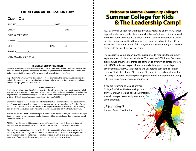### **CREDIT CARD AUTHORIZATION FORM**

 $\square$ VISA  $\square$ MC

|                         | STATE ZIP |
|-------------------------|-----------|
|                         |           |
| CARDHOLDER'S SIGNATURE: |           |

### \_\_\_\_\_\_\_\_\_\_\_\_\_\_\_\_\_\_\_\_\_\_\_\_\_\_\_\_\_\_\_\_\_\_\_\_\_\_\_\_\_\_\_\_\_\_\_\_\_\_\_\_\_\_\_\_\_\_\_\_\_\_\_\_\_\_\_\_\_\_\_\_ **REGISTRATION CONFIRMATION**

Upon receipt of your child's registration form, his/her registration will be confirmed and you will receive a packet of general information including required forms to be completed and returned before the start of the program. These packets will be mailed out in late May.

Important Note: MCC may find it necessary to make changes in the curriculum, administration, policies, fees, or any other phase of College activity, and reserves the right to make such changes or delete any program described within.

#### **REFUND POLICY**

A full refund will be made if the College exercises its right to cancel a session or if a session is full at the time your registration is received. Withdrawal must be made two weeks before the first day of your child's session in order to get a refund of tuition. Withdrawal requests must be made in writing. NOTE: All deposits are non-refundable after June 1, 2015.

Should you need to cancel, please send a letter to the MCC Summer College for Kids stating the child's name and session. The letter must be postmarked two weeks before the first day of your session. Official withdrawal from a session is the responsibility of the participant. Not attending a session, giving notice to an instructor or telephoning the college is NOT official withdrawal.

SPECIAL NOTE: If a Child is unable to adjust in a reasonable period of time, MCC reserves the right to remove the child from the program. Tuition costs will be prorated according to the number of days of attendance.

MCC Summer College for Kids operates under a Monroe County Health Department permit. Records of inspection are on file in our office and the Monroe County Health Department.

Monroe Community College is a unit of the State University of New York. It is the policy of the University and of this College not to discriminate on the basis of sex, race, color, religion, national origin, disability, age, marital status or sexual orientation in admissions, employment, and treatment of students and employees in any educational program or activity.

# **Welcome to Monroe Community College's Summer College for Kids & The Leadership Camp!**

MCC's Summer College for Kids began over 20 years ago on the MCC campus to provide elementary school children with the perfect blend of educational and recreational activities in a 6-week summer day camp experience. Under the direction of our certified teachers, the theme-based curriculum offers indoor and outdoor activities, field trips, recreational swimming and time for campers to pursue their own interests.

The Leadership Camp began in 2013 in response to requests for a summer experience for middle school students. The previous SCFK Junior Counselor program was enhanced to introduce campers to a variety of career interests with MCC faculty, and to participate in team building and leadership development with MCC Student Life and Leadership staff at the Brighton campus. Students entering 6th through 8th grade in the fall are eligible for this unique blend of leadership development and career exploration, along with traditional summer camp experiences.

If you are returning to MCC's Summer College for Kids or The Leadership Camp, or if you are just learning about our program, we welcome you to our unique summer camp offerings.

Chris Smith

Summer Camp Coordinator

1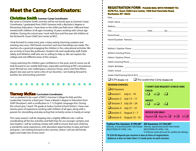# **Meet the Camp Coordinators:**

# **Christine Smith Summer Camp Coordinator**

My name is Christine Smith, and this will be my fourth year as Summer Camp Coordinator. I graduated from SUNY Geneseo with a Bachelor's degree in Elementary Education. I have been in the child care field since 1986 and have worked with children of all ages including 16 years working with school age children. During the school year I work with four and five year old children at the Richard M. Guon Child Care Center at MCC.

I look forward to camp every year. I enjoy seeing returning campers and meeting new ones. Old friends reconnect and new friendships are made. The teachers do a great job engaging the children in fun, educational activities. We are so lucky to have the professors, Student Life and Leadership staff, Public Safety and Athletics staff who are so willing to help us. We can explore the college and visit different areas of the campus.

I enjoy watching the children gain confidence in the pool, and of course we all look forward to our weekly field trips, especially swimming at RIT's recreational pool. We had our own makerspace, a bounce house, and a visit from Rhino players last year just to name a few of our favorites. I am looking forward to another fun and exciting summer!!

# **Tierney McKee Curriculum Coordinator**

I am so pleased to be a part of MCC's Summer College for Kids and the Leadership Camp for a third year. I have a Master's degree in Education from SUNY Brockport, with a certification in 7-12 English Language Arts. During the school year, I teach 7th grade at Sodus Central School District. I have over twenty years of experience working with children of all ages, along with a passion for storytelling and play acting that certainly comes in handy at camp!

This camp season I will be stepping into a slightly different role: I will be coordinating all the fun activities and field trips for our younger campers and teen leaders. I will be working closely with staff to ensure that each child has a wonderful camp experience, with abundant opportunities to play and learn and grow. I am looking forward to this summer, where I will see old friends again-and make lots of new ones!

### **REGISTRATION FORM - PLEASE MAIL WITH PAYMENT TO: SCFK/TLC, Guon Child Care Center, 1000 East Henrietta Road, Rochester, NY 14623**

| Grade Child Entering Fall of 2015                                                                                                                                                                |                                                                                                                                 |
|--------------------------------------------------------------------------------------------------------------------------------------------------------------------------------------------------|---------------------------------------------------------------------------------------------------------------------------------|
| $\Box$ SCFK (Grades 1-5) $\Box$ The Leadership Camp (Grades 6-8)                                                                                                                                 |                                                                                                                                 |
| <b>SESSION CHOICES:</b><br>$\Box$ All Sessions<br>$\Box$ Session 1 July 6 – 10<br>$\sqrt{\frac{1}{12}}$ Session 2 July 13 – 17<br>$\Box$ Session 3 July 20 - 24<br>$\Box$ Session 4 July 27 – 31 | <b>T-SHIRT SIZE REQUEST (CHECK ONE)</b><br><b>CHILD:</b><br>$S\Box$ $M\Box$ $L\Box$<br><b>ADULT:</b><br>$S\Box$ $M\Box$ $L\Box$ |
| $\Box$ Session 5 August 3 – 7<br>Session 6 August 10 - 14                                                                                                                                        | <b>OFFICE USE ONLY:</b><br>Deposit $\Box$ Reg. Pac. $\Box$ W $\Box$ EZ $\Box$                                                   |

### **All Sessions: \$1194.00\* Tuition Per Session: \$199.00\***

SPECIAL \$10.00 DISCOUNT FOR THOSE SPECIAL \$60.00 DISCOUNT FOR THOSE REGISTERED BY APRIL 15th.

REGISTERED BY APRIL 15th. \$10.00 per week discount for additional siblings.

**\*A \$50.00 deposit per session is due at time of registration. Balance is due no later than (1) week prior to each session.**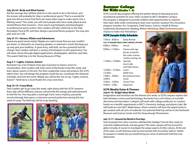### **July 20-24 / Body and Mind Games**

Ask the average teen athlete what he or she wants to do in the future, and the answer will probably be "play in professional sports." That is a wonderful goal, but did you know that there are many other ways to make sports into a lifelong career? This week, you will meet people who have made physical and mental fitness their business—from sports psychologists and physiologists to professional sports writers. Teen Leaders will take a field trip to the Hale Recreation Pool at RIT, and then design a personal fitness program. You may also plan and run a 5k!

### **July 27-31 / Heroes, Villains and Adventures**

Heard any good stories lately? Maybe you read a book that you just couldn't put down, or listened to an inspiring speaker, or watched a movie that kept you up way past your bedtime. A good story, well-told, can be a powerful tool for change. Teen Leaders will learn a variety of techniques to tell a good story. You will share stories through digital applications, photographs, sketches, and skits. This week's field trip is to the Strong Museum of Play.

### **Aug 3-7 / Lights, Camera, Action!**

Rochester has a lot of talent, from jazz musicians to improv actors to moviemakers. Teen Leaders will meet some of Rochester's best this week, and learn about careers in the arts. The Teen Leadership Camp will produce the SCFK talent show. You will design the program, build the set, coordinate the rehearsal schedule, and host the event. Maybe you will be the one to say, "Lights, Camera, Action!" Field trip to a local theatre for a tour and show.

#### **Aug 10-14 / Crazy Week**

Teen Leaders get to go crazy this week, right along with the SCFK campers! Every day will be different, and you will provide the energy and entertainment to fuel the fun. You may plan a scavenger hunt, host a mystery, put pirate recruits through their paces, or become carnival performers during this last week of camp. The field trip will be to go bowling.





# Summer College for Kids **(Grades 1 - 5)**

SCFK is an all-day program offering the perfect blend of educational and recreational activities for your child. Located on MCC's Brighton Campus, the program is designed to provide children with opportunities to improve their basic skills while continuing to learn over summer vacation.This innovative program includes: Art, Computers, Field Games, Science, Health & Fitness, Leadership Development, Reading, Writer's Workshop, Math Enrichment and a chance to make new friendships!

### **SCFK Sample Daily Schedule**

| 7:30 AM - 8:00 AM  | Early Arrival<br><b>CALL TO INQUIRE ABOUT EARLY ARRIVAL OPTIONS</b> |
|--------------------|---------------------------------------------------------------------|
| 8:00ам -9:00ам     | Arrival                                                             |
| 9:00am -11:00am    | Classes with age                                                    |
|                    | group, computer                                                     |
|                    | lab, math, science,                                                 |
|                    | creative writing, etc.                                              |
| 11:00 м - 12:00 рм | Specials,                                                           |
|                    | Arts/Crafts                                                         |
|                    | and Field Games                                                     |
| 12:00рм -12:30рм   | Lunch                                                               |
| 12:30рм            | DFAR Time                                                           |
| 1:00рм - 3:00рм    | <b>Recreational Swim</b>                                            |
| 3:00PM             | Snack                                                               |
| $3:30$ PM – 4:30PM | Choice Time                                                         |
| 4:30рм- 5:30рм     | Departure                                                           |





Imagination and invention are the themes this week, as SCFK campers explore the links between science and technology. Rochester has a rich history of scientific discovery and innovation. Campers will work with college professors to conduct hands-on scientific experiments in MCC's chemistry, biology, and physics labs. We will build our own MCC MakerSpace, where campers will have the opportunity to get creative with all sorts of materials. Our planned field trip will be to the Rochester Museum and Science Center and the Strasenburgh Planetarium.

### **July 13-17 / Around the World in Five Days**

How do people from other countries celebrate their holidays? How do they create art, cook their traditional foods, and play games? This week, campers will trot around the globe (virtually, of course) to investigate the unique aspects of other cultures. At the end of the week, we will showcase what we have learned with an exciting "wall art" exhibit. No passport is needed, but you should bring your sense of adventure! Field trip to be determined.